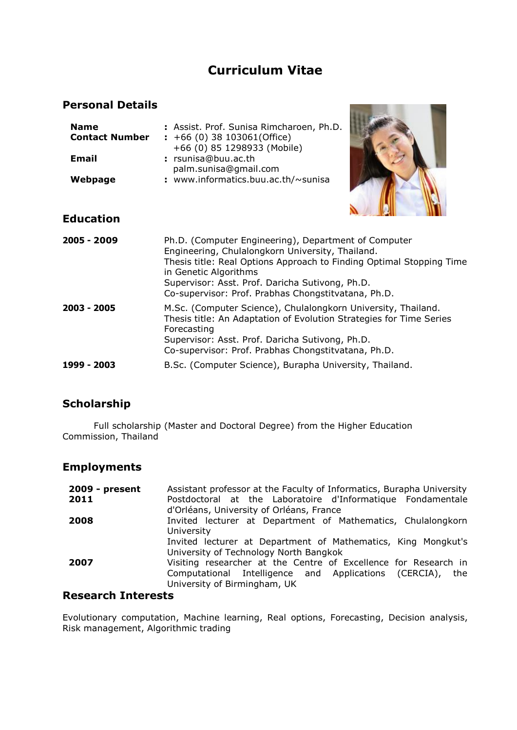# **Curriculum Vitae**

#### **Personal Details**

| <b>Name</b><br><b>Contact Number</b> | : Assist. Prof. Sunisa Rimcharoen, Ph.D.<br>$\div$ +66 (0) 38 103061(Office) |  |
|--------------------------------------|------------------------------------------------------------------------------|--|
| Email                                | +66 (0) 85 1298933 (Mobile)<br>: rsunisa@buu.ac.th<br>palm.sunisa@gmail.com  |  |
| Webpage                              | : www.informatics.buu.ac.th/~sunisa                                          |  |



#### **Education**

| 2005 - 2009 | Ph.D. (Computer Engineering), Department of Computer<br>Engineering, Chulalongkorn University, Thailand.<br>Thesis title: Real Options Approach to Finding Optimal Stopping Time<br>in Genetic Algorithms<br>Supervisor: Asst. Prof. Daricha Sutivong, Ph.D.<br>Co-supervisor: Prof. Prabhas Chongstitvatana, Ph.D. |
|-------------|---------------------------------------------------------------------------------------------------------------------------------------------------------------------------------------------------------------------------------------------------------------------------------------------------------------------|
| 2003 - 2005 | M.Sc. (Computer Science), Chulalongkorn University, Thailand.<br>Thesis title: An Adaptation of Evolution Strategies for Time Series<br>Forecasting<br>Supervisor: Asst. Prof. Daricha Sutivong, Ph.D.<br>Co-supervisor: Prof. Prabhas Chongstitvatana, Ph.D.                                                       |
| 1999 - 2003 | B.Sc. (Computer Science), Burapha University, Thailand.                                                                                                                                                                                                                                                             |

#### **Scholarship**

Full scholarship (Master and Doctoral Degree) from the Higher Education Commission, Thailand

#### **Employments**

| $2009$ - present | Assistant professor at the Faculty of Informatics, Burapha University |
|------------------|-----------------------------------------------------------------------|
| 2011             | Postdoctoral at the Laboratoire d'Informatique Fondamentale           |
|                  | d'Orléans, University of Orléans, France                              |
| 2008             | Invited lecturer at Department of Mathematics, Chulalongkorn          |
|                  | University                                                            |
|                  | Invited lecturer at Department of Mathematics, King Mongkut's         |
|                  | University of Technology North Bangkok                                |
| 2007             | Visiting researcher at the Centre of Excellence for Research in       |
|                  | Computational Intelligence and Applications (CERCIA), the             |
|                  | University of Birmingham, UK                                          |

#### **Research Interests**

Evolutionary computation, Machine learning, Real options, Forecasting, Decision analysis, Risk management, Algorithmic trading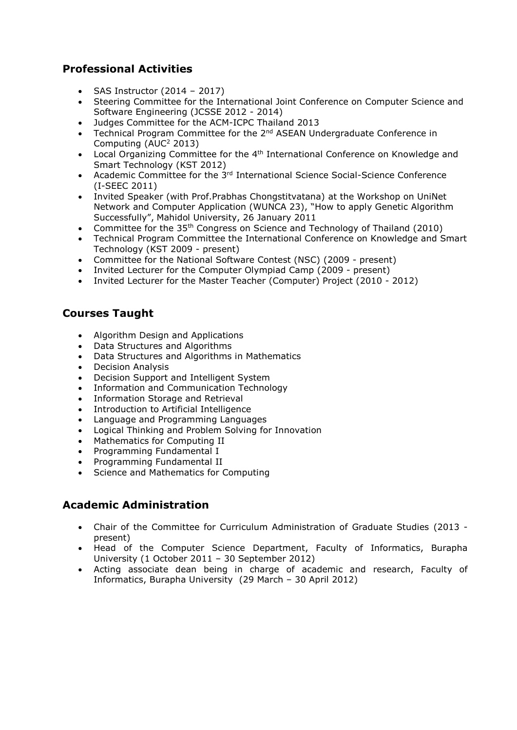## **Professional Activities**

- $-SAS$  Instructor (2014 2017)
- Steering Committee for the International Joint Conference on Computer Science and Software Engineering (JCSSE 2012 - 2014)
- Judges Committee for the ACM-ICPC Thailand 2013
- Technical Program Committee for the  $2<sup>nd</sup>$  ASEAN Undergraduate Conference in Computing (AUC<sup>2</sup> 2013)
- Local Organizing Committee for the 4<sup>th</sup> International Conference on Knowledge and Smart Technology (KST 2012)
- Academic Committee for the 3<sup>rd</sup> International Science Social-Science Conference (I-SEEC 2011)
- Invited Speaker (with Prof.Prabhas Chongstitvatana) at the Workshop on UniNet Network and Computer Application (WUNCA 23), "[How to apply Genetic Algorithm](http://www.cp.eng.chula.ac.th/~piak/talk/2011/wunca/intro-ec-wunca.htm)  [Successfully",](http://www.cp.eng.chula.ac.th/~piak/talk/2011/wunca/intro-ec-wunca.htm) Mahidol University, 26 January 2011
- Committee for the 35th Congress on Science and Technology of Thailand (2010)
- Technical Program Committee the International Conference on Knowledge and Smart Technology (KST 2009 - present)
- Committee for the National Software Contest (NSC) (2009 present)
- Invited Lecturer for the Computer Olympiad Camp (2009 present)
- Invited Lecturer for the Master Teacher (Computer) Project (2010 2012)

#### **Courses Taught**

- Algorithm Design and Applications
- Data Structures and Algorithms
- Data Structures and Algorithms in Mathematics
- Decision Analysis
- Decision Support and Intelligent System
- Information and Communication Technology
- Information Storage and Retrieval
- Introduction to Artificial Intelligence
- Language and Programming Languages
- Logical Thinking and Problem Solving for Innovation
- Mathematics for Computing II
- Programming Fundamental I
- Programming Fundamental II
- Science and Mathematics for Computing

#### **Academic Administration**

- Chair of the Committee for Curriculum Administration of Graduate Studies (2013 present)
- Head of the Computer Science Department, Faculty of Informatics, Burapha University (1 October 2011 – 30 September 2012)
- Acting associate dean being in charge of academic and research, Faculty of Informatics, Burapha University (29 March – 30 April 2012)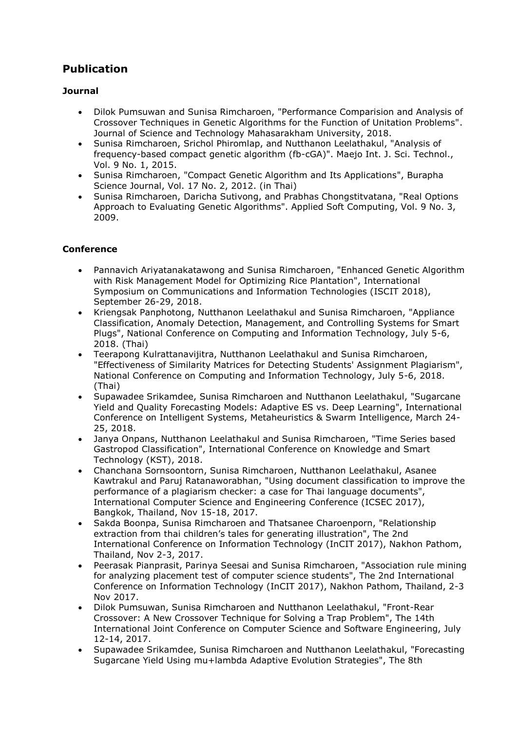## **Publication**

#### **Journal**

- Dilok Pumsuwan and Sunisa Rimcharoen, "Performance Comparision and Analysis of Crossover Techniques in Genetic Algorithms for the Function of Unitation Problems". Journal of Science and Technology Mahasarakham University, 2018.
- Sunisa Rimcharoen, Srichol Phiromlap, and Nutthanon Leelathakul, "Analysis of frequency-based compact genetic algorithm (fb-cGA)". Maejo Int. J. Sci. Technol., Vol. 9 No. 1, 2015.
- Sunisa Rimcharoen, "Compact Genetic Algorithm and Its Applications", Burapha Science Journal, Vol. 17 No. 2, 2012. (in Thai)
- Sunisa Rimcharoen, Daricha Sutivong, and Prabhas Chongstitvatana, "Real Options Approach to Evaluating Genetic Algorithms". Applied Soft Computing, Vol. 9 No. 3, 2009.

#### **Conference**

- Pannavich Ariyatanakatawong and Sunisa Rimcharoen, "Enhanced Genetic Algorithm with Risk Management Model for Optimizing Rice Plantation", International Symposium on Communications and Information Technologies (ISCIT 2018), September 26-29, 2018.
- Kriengsak Panphotong, Nutthanon Leelathakul and Sunisa Rimcharoen, "Appliance Classification, Anomaly Detection, Management, and Controlling Systems for Smart Plugs", National Conference on Computing and Information Technology, July 5-6, 2018. (Thai)
- Teerapong Kulrattanavijitra, Nutthanon Leelathakul and Sunisa Rimcharoen, "Effectiveness of Similarity Matrices for Detecting Students' Assignment Plagiarism", National Conference on Computing and Information Technology, July 5-6, 2018. (Thai)
- Supawadee Srikamdee, Sunisa Rimcharoen and Nutthanon Leelathakul, "Sugarcane Yield and Quality Forecasting Models: Adaptive ES vs. Deep Learning", International Conference on Intelligent Systems, Metaheuristics & Swarm Intelligence, March 24- 25, 2018.
- Janya Onpans, Nutthanon Leelathakul and Sunisa Rimcharoen, "Time Series based Gastropod Classification", International Conference on Knowledge and Smart Technology (KST), 2018.
- Chanchana Sornsoontorn, Sunisa Rimcharoen, Nutthanon Leelathakul, Asanee Kawtrakul and Paruj Ratanaworabhan, "Using document classification to improve the performance of a plagiarism checker: a case for Thai language documents", International Computer Science and Engineering Conference (ICSEC 2017), Bangkok, Thailand, Nov 15-18, 2017.
- Sakda Boonpa, Sunisa Rimcharoen and Thatsanee Charoenporn, "Relationship extraction from thai children's tales for generating illustration", The 2nd International Conference on Information Technology (InCIT 2017), Nakhon Pathom, Thailand, Nov 2-3, 2017.
- Peerasak Pianprasit, Parinya Seesai and Sunisa Rimcharoen, "Association rule mining for analyzing placement test of computer science students", The 2nd International Conference on Information Technology (InCIT 2017), Nakhon Pathom, Thailand, 2-3 Nov 2017.
- Dilok Pumsuwan, Sunisa Rimcharoen and Nutthanon Leelathakul, "Front-Rear Crossover: A New Crossover Technique for Solving a Trap Problem", The 14th International Joint Conference on Computer Science and Software Engineering, July 12-14, 2017.
- Supawadee Srikamdee, Sunisa Rimcharoen and Nutthanon Leelathakul, "Forecasting Sugarcane Yield Using mu+lambda Adaptive Evolution Strategies", The 8th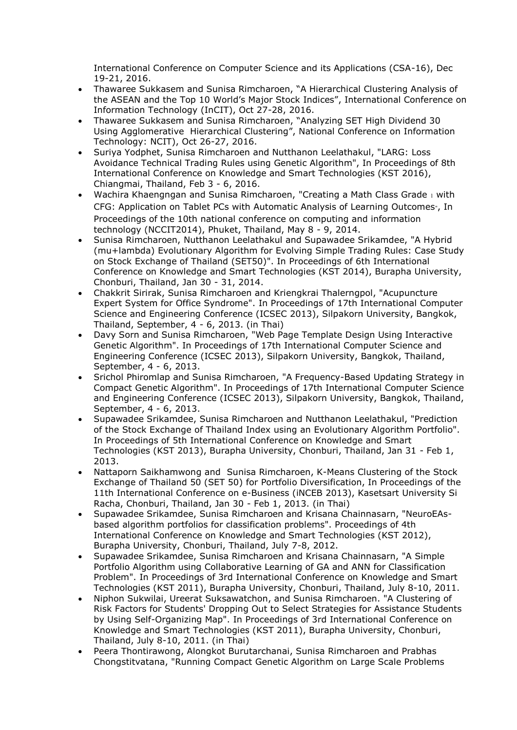International Conference on Computer Science and its Applications (CSA-16), Dec 19-21, 2016.

- Thawaree Sukkasem and Sunisa Rimcharoen, "A Hierarchical Clustering Analysis of the ASEAN and the Top 10 World's Major Stock Indices", International Conference on Information Technology (InCIT), Oct 27-28, 2016.
- Thawaree Sukkasem and Sunisa Rimcharoen, "Analyzing SET High Dividend 30 Using Agglomerative Hierarchical Clustering", National Conference on Information Technology: NCIT), Oct 26-27, 2016.
- Suriya Yodphet, Sunisa Rimcharoen and Nutthanon Leelathakul, "LARG: Loss Avoidance Technical Trading Rules using Genetic Algorithm", In Proceedings of 8th International Conference on Knowledge and Smart Technologies (KST 2016), Chiangmai, Thailand, Feb 3 - 6, 2016.
- Wachira Khaengngan and Sunisa Rimcharoen, "Creating a Math Class Grade 1 with CFG: Application on Tablet PCs with Automatic Analysis of Learning Outcomes", In Proceedings of the 10th national conference on computing and information technology (NCCIT2014), Phuket, Thailand, May 8 - 9, 2014.
- Sunisa Rimcharoen, Nutthanon Leelathakul and Supawadee Srikamdee, "A Hybrid (mu+lambda) Evolutionary Algorithm for Evolving Simple Trading Rules: Case Study on Stock Exchange of Thailand (SET50)". In Proceedings of 6th International Conference on Knowledge and Smart Technologies (KST 2014), Burapha University, Chonburi, Thailand, Jan 30 - 31, 2014.
- Chakkrit Sirirak, Sunisa Rimcharoen and Kriengkrai Thalerngpol, "Acupuncture Expert System for Office Syndrome". In Proceedings of 17th International Computer Science and Engineering Conference (ICSEC 2013), Silpakorn University, Bangkok, Thailand, September, 4 - 6, 2013. (in Thai)
- Davy Sorn and Sunisa Rimcharoen, "Web Page Template Design Using Interactive Genetic Algorithm". In Proceedings of 17th International Computer Science and Engineering Conference (ICSEC 2013), Silpakorn University, Bangkok, Thailand, September, 4 - 6, 2013.
- Srichol Phiromlap and Sunisa Rimcharoen, "A Frequency-Based Updating Strategy in Compact Genetic Algorithm". In Proceedings of 17th International Computer Science and Engineering Conference (ICSEC 2013), Silpakorn University, Bangkok, Thailand, September, 4 - 6, 2013.
- Supawadee Srikamdee, Sunisa Rimcharoen and Nutthanon Leelathakul, "Prediction of the Stock Exchange of Thailand Index using an Evolutionary Algorithm Portfolio". In Proceedings of 5th International Conference on Knowledge and Smart Technologies (KST 2013), Burapha University, Chonburi, Thailand, Jan 31 - Feb 1, 2013.
- Nattaporn Saikhamwong and Sunisa Rimcharoen, K-Means Clustering of the Stock Exchange of Thailand 50 (SET 50) for Portfolio Diversification, In Proceedings of the 11th International Conference on e-Business (iNCEB 2013), Kasetsart University Si Racha, Chonburi, Thailand, Jan 30 - Feb 1, 2013. (in Thai)
- Supawadee Srikamdee, Sunisa Rimcharoen and Krisana Chainnasarn, "NeuroEAsbased algorithm portfolios for classification problems". Proceedings of 4th International Conference on Knowledge and Smart Technologies (KST 2012), Burapha University, Chonburi, Thailand, July 7-8, 2012.
- Supawadee Srikamdee, Sunisa Rimcharoen and Krisana Chainnasarn, "A Simple Portfolio Algorithm using Collaborative Learning of GA and ANN for Classification Problem". In Proceedings of 3rd International Conference on Knowledge and Smart Technologies (KST 2011), Burapha University, Chonburi, Thailand, July 8-10, 2011.
- Niphon Sukwilai, Ureerat Suksawatchon, and Sunisa Rimcharoen. "A Clustering of Risk Factors for Students' Dropping Out to Select Strategies for Assistance Students by Using Self-Organizing Map". In Proceedings of 3rd International Conference on Knowledge and Smart Technologies (KST 2011), Burapha University, Chonburi, Thailand, July 8-10, 2011. (in Thai)
- Peera Thontirawong, Alongkot Burutarchanai, Sunisa Rimcharoen and Prabhas Chongstitvatana, "Running Compact Genetic Algorithm on Large Scale Problems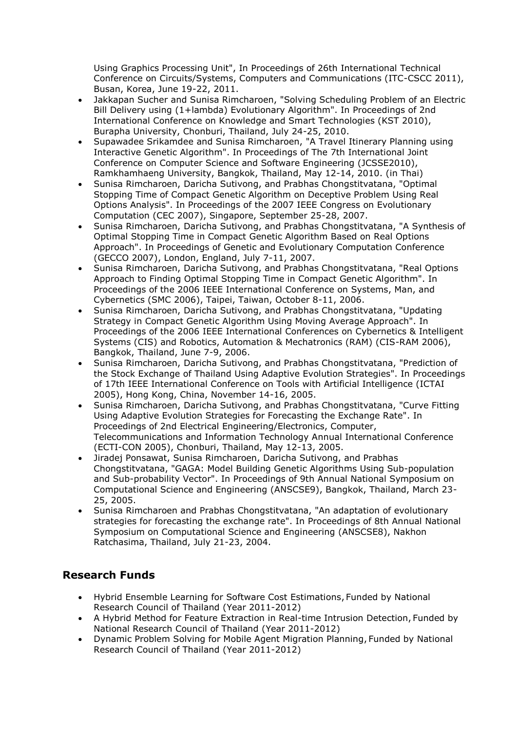Using Graphics Processing Unit", In Proceedings of 26th International Technical Conference on Circuits/Systems, Computers and Communications (ITC-CSCC 2011), Busan, Korea, June 19-22, 2011.

- Jakkapan Sucher and Sunisa Rimcharoen, "Solving Scheduling Problem of an Electric Bill Delivery using (1+lambda) Evolutionary Algorithm". In Proceedings of 2nd International Conference on Knowledge and Smart Technologies (KST 2010), Burapha University, Chonburi, Thailand, July 24-25, 2010.
- Supawadee Srikamdee and Sunisa Rimcharoen, "A Travel Itinerary Planning using Interactive Genetic Algorithm". In Proceedings of The 7th International Joint Conference on Computer Science and Software Engineering (JCSSE2010), Ramkhamhaeng University, Bangkok, Thailand, May 12-14, 2010. (in Thai)
- Sunisa Rimcharoen, Daricha Sutivong, and Prabhas Chongstitvatana, "Optimal Stopping Time of Compact Genetic Algorithm on Deceptive Problem Using Real Options Analysis". In Proceedings of the 2007 IEEE Congress on Evolutionary Computation (CEC 2007), Singapore, September 25-28, 2007.
- Sunisa Rimcharoen, Daricha Sutivong, and Prabhas Chongstitvatana, "A Synthesis of Optimal Stopping Time in Compact Genetic Algorithm Based on Real Options Approach". In Proceedings of Genetic and Evolutionary Computation Conference (GECCO 2007), London, England, July 7-11, 2007.
- Sunisa Rimcharoen, Daricha Sutivong, and Prabhas Chongstitvatana, "Real Options Approach to Finding Optimal Stopping Time in Compact Genetic Algorithm". In Proceedings of the 2006 IEEE International Conference on Systems, Man, and Cybernetics (SMC 2006), Taipei, Taiwan, October 8-11, 2006.
- Sunisa Rimcharoen, Daricha Sutivong, and Prabhas Chongstitvatana, "Updating Strategy in Compact Genetic Algorithm Using Moving Average Approach". In Proceedings of the 2006 IEEE International Conferences on Cybernetics & Intelligent Systems (CIS) and Robotics, Automation & Mechatronics (RAM) (CIS-RAM 2006), Bangkok, Thailand, June 7-9, 2006.
- Sunisa Rimcharoen, Daricha Sutivong, and Prabhas Chongstitvatana, "Prediction of the Stock Exchange of Thailand Using Adaptive Evolution Strategies". In Proceedings of 17th IEEE International Conference on Tools with Artificial Intelligence (ICTAI 2005), Hong Kong, China, November 14-16, 2005.
- Sunisa Rimcharoen, Daricha Sutivong, and Prabhas Chongstitvatana, "Curve Fitting Using Adaptive Evolution Strategies for Forecasting the Exchange Rate". In Proceedings of 2nd Electrical Engineering/Electronics, Computer, Telecommunications and Information Technology Annual International Conference (ECTI-CON 2005), Chonburi, Thailand, May 12-13, 2005.
- Jiradej Ponsawat, Sunisa Rimcharoen, Daricha Sutivong, and Prabhas Chongstitvatana, "GAGA: Model Building Genetic Algorithms Using Sub-population and Sub-probability Vector". In Proceedings of 9th Annual National Symposium on Computational Science and Engineering (ANSCSE9), Bangkok, Thailand, March 23- 25, 2005.
- Sunisa Rimcharoen and Prabhas Chongstitvatana, "An adaptation of evolutionary strategies for forecasting the exchange rate". In Proceedings of 8th Annual National Symposium on Computational Science and Engineering (ANSCSE8), Nakhon Ratchasima, Thailand, July 21-23, 2004.

## **Research Funds**

- Hybrid Ensemble Learning for Software Cost Estimations, Funded by National Research Council of Thailand (Year 2011-2012)
- A Hybrid Method for Feature Extraction in Real-time Intrusion Detection, Funded by National Research Council of Thailand (Year 2011-2012)
- Dynamic Problem Solving for Mobile Agent Migration Planning, Funded by National Research Council of Thailand (Year 2011-2012)